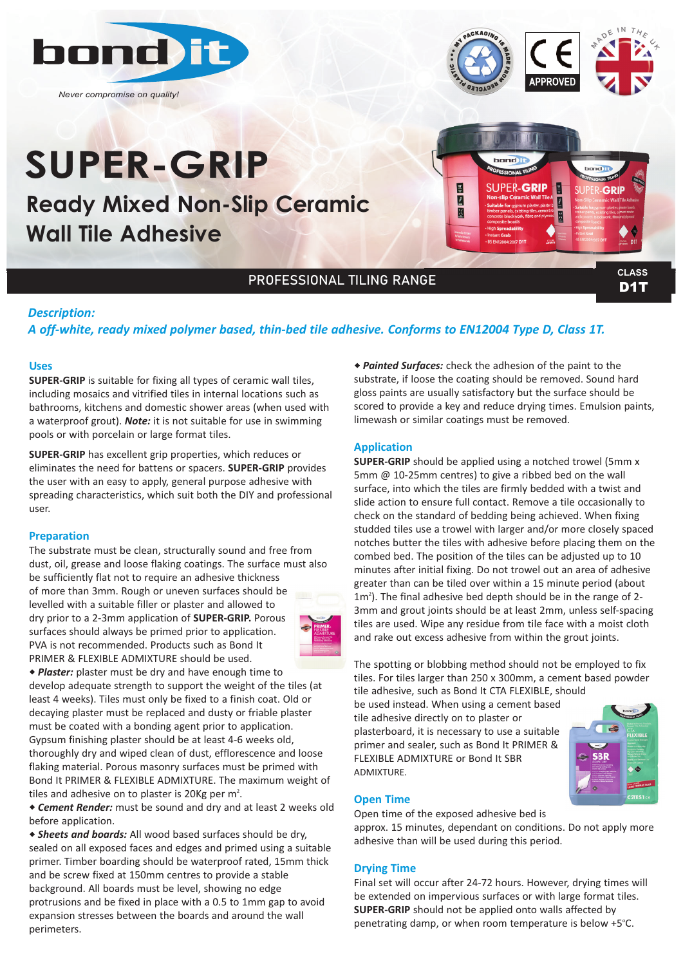

*Never compromise on quality!*

# **APPROVED**

## **SUPER-GRIP**

**Ready Mixed Non-Slip Ceramic Wall Tile Adhesive**



D<sub>1</sub>T

### PROFESSIONAL TILING RANGE

#### *Description:*

#### *A off‐white, ready mixed polymer based, thin‐bed tile adhesive. Conforms to EN12004 Type D, Class 1T.*

#### **Uses**

**SUPER-GRIP** is suitable for fixing all types of ceramic wall tiles, including mosaics and vitrified tiles in internal locations such as bathrooms, kitchens and domestic shower areas (when used with a waterproof grout). *Note:* it is not suitable for use in swimming pools or with porcelain or large format tiles.

**SUPER-GRIP** has excellent grip properties, which reduces or eliminates the need for battens or spacers. **SUPER-GRIP** provides the user with an easy to apply, general purpose adhesive with spreading characteristics, which suit both the DIY and professional user.

#### **Preparation**

The substrate must be clean, structurally sound and free from dust, oil, grease and loose flaking coatings. The surface must also be sufficiently flat not to require an adhesive thickness of more than 3mm. Rough or uneven surfaces should be levelled with a suitable filler or plaster and allowed to dry prior to a 2-3mm application of **SUPER-GRIP.** Porous surfaces should always be primed prior to application. PVA is not recommended. Products such as Bond It PRIMER & FLEXIBLE ADMIXTURE should be used.



w *Plaster:* plaster must be dry and have enough time to develop adequate strength to support the weight of the tiles (at least 4 weeks). Tiles must only be fixed to a finish coat. Old or decaying plaster must be replaced and dusty or friable plaster must be coated with a bonding agent prior to application. Gypsum finishing plaster should be at least 4-6 weeks old, thoroughly dry and wiped clean of dust, efflorescence and loose flaking material. Porous masonry surfaces must be primed with Bond It PRIMER & FLEXIBLE ADMIXTURE. The maximum weight of tiles and adhesive on to plaster is 20Kg per  $m^2$ .

\* Cement Render: must be sound and dry and at least 2 weeks old before application.

w *Sheets and boards:* All wood based surfaces should be dry, sealed on all exposed faces and edges and primed using a suitable primer. Timber boarding should be waterproof rated, 15mm thick and be screw fixed at 150mm centres to provide a stable background. All boards must be level, showing no edge protrusions and be fixed in place with a 0.5 to 1mm gap to avoid expansion stresses between the boards and around the wall perimeters.

\* *Painted Surfaces:* check the adhesion of the paint to the substrate, if loose the coating should be removed. Sound hard gloss paints are usually satisfactory but the surface should be scored to provide a key and reduce drying times. Emulsion paints, limewash or similar coatings must be removed.

#### **Application**

**SUPER-GRIP** should be applied using a notched trowel (5mm x 5mm @ 10-25mm centres) to give a ribbed bed on the wall surface, into which the tiles are firmly bedded with a twist and slide action to ensure full contact. Remove a tile occasionally to check on the standard of bedding being achieved. When fixing studded tiles use a trowel with larger and/or more closely spaced notches butter the tiles with adhesive before placing them on the combed bed. The position of the tiles can be adjusted up to 10 minutes after initial fixing. Do not trowel out an area of adhesive greater than can be tiled over within a 15 minute period (about 1m<sup>2</sup>). The final adhesive bed depth should be in the range of 2-3mm and grout joints should be at least 2mm, unless self-spacing tiles are used. Wipe any residue from tile face with a moist cloth and rake out excess adhesive from within the grout joints.

The spotting or blobbing method should not be employed to fix tiles. For tiles larger than 250 x 300mm, a cement based powder tile adhesive, such as Bond It CTA FLEXIBLE, should

be used instead. When using a cement based tile adhesive directly on to plaster or plasterboard, it is necessary to use a suitable primer and sealer, such as Bond It PRIMER & FLEXIBLE ADMIXTURE or Bond It SBR ADMIXTURE.



#### **Open Time**

Open time of the exposed adhesive bed is

approx. 15 minutes, dependant on conditions. Do not apply more adhesive than will be used during this period.

#### **Drying Time**

Final set will occur after 24-72 hours. However, drying times will be extended on impervious surfaces or with large format tiles. **SUPER-GRIP** should not be applied onto walls affected by penetrating damp, or when room temperature is below +5°C.